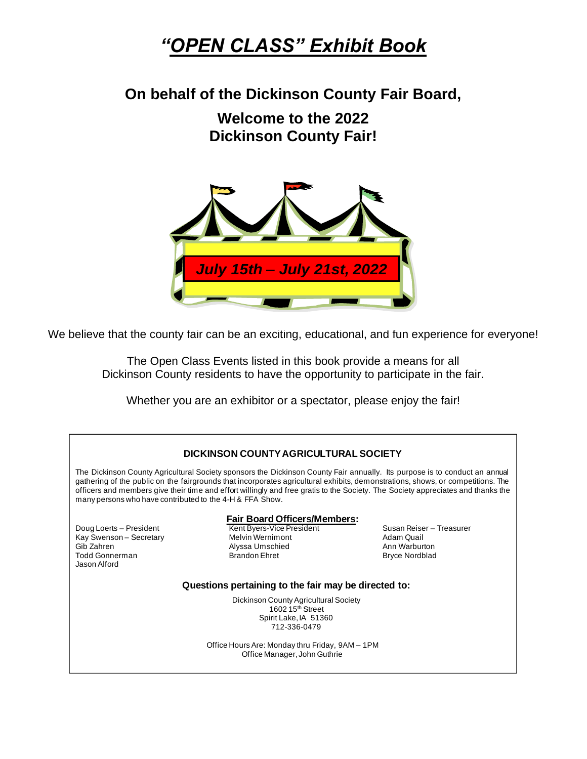# *"OPEN CLASS" Exhibit Book*

**On behalf of the Dickinson County Fair Board,**

**Welcome to the 2022 Dickinson County Fair!**



We believe that the county fair can be an exciting, educational, and fun experience for everyone!

The Open Class Events listed in this book provide a means for all Dickinson County residents to have the opportunity to participate in the fair.

Whether you are an exhibitor or a spectator, please enjoy the fair!

| DICKINSON COUNTY AGRICULTURAL SOCIETY                                                                                                                                                                                                                                                                                                                                                                                                                         |                                                                                                 |                                                                                  |  |
|---------------------------------------------------------------------------------------------------------------------------------------------------------------------------------------------------------------------------------------------------------------------------------------------------------------------------------------------------------------------------------------------------------------------------------------------------------------|-------------------------------------------------------------------------------------------------|----------------------------------------------------------------------------------|--|
| The Dickinson County Agricultural Society sponsors the Dickinson County Fair annually. Its purpose is to conduct an annual<br>gathering of the public on the fairgrounds that incorporates agricultural exhibits, demonstrations, shows, or competitions. The<br>officers and members give their time and effort willingly and free gratis to the Society. The Society appreciates and thanks the<br>many persons who have contributed to the 4-H & FFA Show. |                                                                                                 |                                                                                  |  |
|                                                                                                                                                                                                                                                                                                                                                                                                                                                               | <b>Fair Board Officers/Members:</b>                                                             |                                                                                  |  |
| Doug Loerts - President<br>Kay Swenson - Secretary<br>Gib Zahren<br><b>Todd Gonnerman</b><br>Jason Alford                                                                                                                                                                                                                                                                                                                                                     | Kent Byers-Vice President<br><b>Melvin Wernimont</b><br>Alyssa Umschied<br><b>Brandon Ehret</b> | Susan Reiser - Treasurer<br>Adam Quail<br>Ann Warburton<br><b>Bryce Nordblad</b> |  |
|                                                                                                                                                                                                                                                                                                                                                                                                                                                               | Questions pertaining to the fair may be directed to:                                            |                                                                                  |  |
| Dickinson County Agricultural Society<br>1602 $15th$ Street<br>Spirit Lake, IA 51360<br>712-336-0479                                                                                                                                                                                                                                                                                                                                                          |                                                                                                 |                                                                                  |  |
| Office Hours Are: Monday thru Friday, 9AM - 1PM<br>Office Manager, John Guthrie                                                                                                                                                                                                                                                                                                                                                                               |                                                                                                 |                                                                                  |  |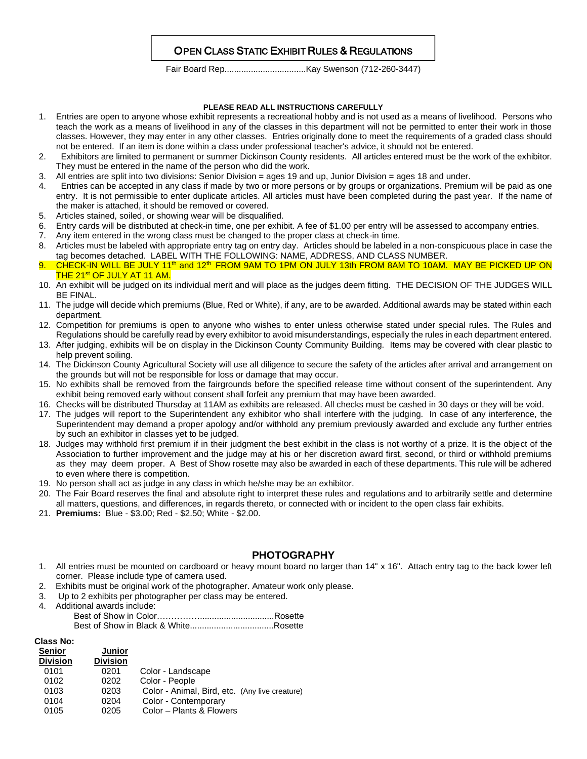# OPEN CLASS STATIC EXHIBIT RULES & REGULATIONS

Fair Board Rep..................................Kay Swenson (712-260-3447)

#### **PLEASE READ ALL INSTRUCTIONS CAREFULLY**

- 1. Entries are open to anyone whose exhibit represents a recreational hobby and is not used as a means of livelihood. Persons who teach the work as a means of livelihood in any of the classes in this department will not be permitted to enter their work in those classes. However, they may enter in any other classes. Entries originally done to meet the requirements of a graded class should not be entered. If an item is done within a class under professional teacher's advice, it should not be entered.
- 2. Exhibitors are limited to permanent or summer Dickinson County residents. All articles entered must be the work of the exhibitor. They must be entered in the name of the person who did the work.
- 3. All entries are split into two divisions: Senior Division = ages 19 and up, Junior Division = ages 18 and under.
- 4. Entries can be accepted in any class if made by two or more persons or by groups or organizations. Premium will be paid as one entry. It is not permissible to enter duplicate articles. All articles must have been completed during the past year. If the name of the maker is attached, it should be removed or covered.
- 5. Articles stained, soiled, or showing wear will be disqualified.
- 6. Entry cards will be distributed at check-in time, one per exhibit. A fee of \$1.00 per entry will be assessed to accompany entries.
- 7. Any item entered in the wrong class must be changed to the proper class at check-in time.
- 8. Articles must be labeled with appropriate entry tag on entry day. Articles should be labeled in a non-conspicuous place in case the tag becomes detached. LABEL WITH THE FOLLOWING: NAME, ADDRESS, AND CLASS NUMBER.
- CHECK-IN WILL BE JULY 11<sup>th</sup> and 12<sup>th</sup> FROM 9AM TO 1PM ON JULY 13th FROM 8AM TO 10AM. MAY BE PICKED UP ON THE 21<sup>st</sup> OF JULY AT 11 AM.
- 10. An exhibit will be judged on its individual merit and will place as the judges deem fitting. THE DECISION OF THE JUDGES WILL BE FINAL.
- 11. The judge will decide which premiums (Blue, Red or White), if any, are to be awarded. Additional awards may be stated within each department.
- 12. Competition for premiums is open to anyone who wishes to enter unless otherwise stated under special rules. The Rules and Regulations should be carefully read by every exhibitor to avoid misunderstandings, especially the rules in each department entered.
- 13. After judging, exhibits will be on display in the Dickinson County Community Building. Items may be covered with clear plastic to help prevent soiling.
- 14. The Dickinson County Agricultural Society will use all diligence to secure the safety of the articles after arrival and arrangement on the grounds but will not be responsible for loss or damage that may occur.
- 15. No exhibits shall be removed from the fairgrounds before the specified release time without consent of the superintendent. Any exhibit being removed early without consent shall forfeit any premium that may have been awarded.
- 16. Checks will be distributed Thursday at 11AM as exhibits are released. All checks must be cashed in 30 days or they will be void.
- 17. The judges will report to the Superintendent any exhibitor who shall interfere with the judging. In case of any interference, the Superintendent may demand a proper apology and/or withhold any premium previously awarded and exclude any further entries by such an exhibitor in classes yet to be judged.
- 18. Judges may withhold first premium if in their judgment the best exhibit in the class is not worthy of a prize. It is the object of the Association to further improvement and the judge may at his or her discretion award first, second, or third or withhold premiums as they may deem proper. A Best of Show rosette may also be awarded in each of these departments. This rule will be adhered to even where there is competition.
- 19. No person shall act as judge in any class in which he/she may be an exhibitor.
- 20. The Fair Board reserves the final and absolute right to interpret these rules and regulations and to arbitrarily settle and determine all matters, questions, and differences, in regards thereto, or connected with or incident to the open class fair exhibits.
- 21. **Premiums:** Blue \$3.00; Red \$2.50; White \$2.00.

### **PHOTOGRAPHY**

- 1. All entries must be mounted on cardboard or heavy mount board no larger than 14" x 16". Attach entry tag to the back lower left corner. Please include type of camera used.
- 2. Exhibits must be original work of the photographer. Amateur work only please.
- 3. Up to 2 exhibits per photographer per class may be entered. 4. Additional awards include: Best of Show in Color……………...............................Rosette

### **Class No:**

| <b>Senior</b>   | Junior          |                                                |
|-----------------|-----------------|------------------------------------------------|
| <b>Division</b> | <b>Division</b> |                                                |
| 0101            | 0201            | Color - Landscape                              |
| 0102            | 0202            | Color - People                                 |
| 0103            | 0203            | Color - Animal, Bird, etc. (Any live creature) |
| 0104            | 0204            | Color - Contemporary                           |
| 0105            | 0205            | Color - Plants & Flowers                       |
|                 |                 |                                                |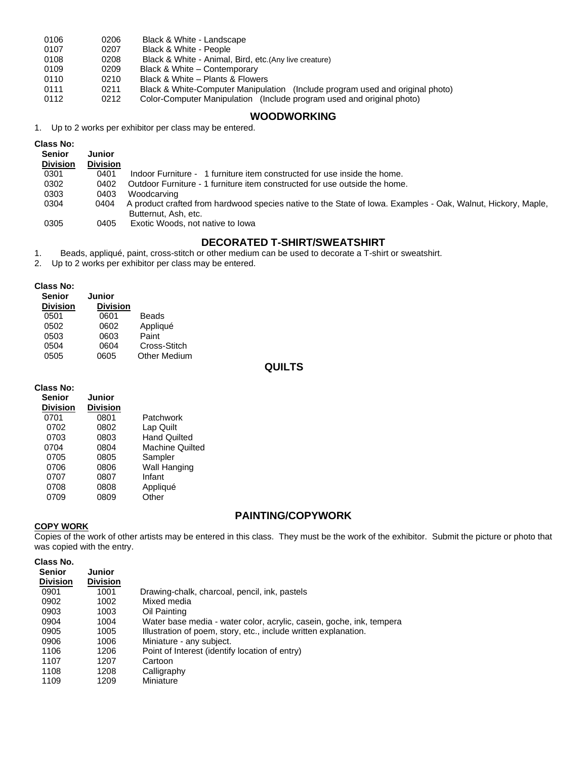| 0106 | 0206 | Black & White - Landscape                                                     |
|------|------|-------------------------------------------------------------------------------|
| 0107 | 0207 | Black & White - People                                                        |
| 0108 | 0208 | Black & White - Animal, Bird, etc. (Any live creature)                        |
| 0109 | 0209 | Black & White – Contemporary                                                  |
| 0110 | 0210 | Black & White – Plants & Flowers                                              |
| 0111 | 0211 | Black & White-Computer Manipulation (Include program used and original photo) |
| 0112 | 0212 | Color-Computer Manipulation (Include program used and original photo)         |

# **WOODWORKING**

1. Up to 2 works per exhibitor per class may be entered.

| <b>Class No:</b><br><b>Senior</b><br><b>Division</b> | Junior<br><b>Division</b> |                                                                                                                                      |
|------------------------------------------------------|---------------------------|--------------------------------------------------------------------------------------------------------------------------------------|
| 0301                                                 | 0401                      | Indoor Furniture - 1 furniture item constructed for use inside the home.                                                             |
| 0302                                                 | 0402                      | Outdoor Furniture - 1 furniture item constructed for use outside the home.                                                           |
| 0303                                                 | 0403                      | Woodcarving                                                                                                                          |
| 0304                                                 | 0404                      | A product crafted from hardwood species native to the State of Iowa. Examples - Oak, Walnut, Hickory, Maple,<br>Butternut, Ash, etc. |
| 0305                                                 | 0405                      | Exotic Woods, not native to lowa                                                                                                     |

# **DECORATED T-SHIRT/SWEATSHIRT**

1. Beads, appliqué, paint, cross-stitch or other medium can be used to decorate a T-shirt or sweatshirt.

Up to 2 works per exhibitor per class may be entered.

#### **Class No:**

| GIASS IVO.      |                 |                     |
|-----------------|-----------------|---------------------|
| <b>Senior</b>   | Junior          |                     |
| <b>Division</b> | <b>Division</b> |                     |
| 0501            | 0601            | Beads               |
| 0502            | 0602            | Appliqué            |
| 0503            | 0603            | Paint               |
| 0504            | 0604            | Cross-Stitch        |
| 0505            | 0605            | <b>Other Medium</b> |
|                 |                 |                     |

# **QUILTS**

| Class No:       |                 |                        |
|-----------------|-----------------|------------------------|
| <b>Senior</b>   | Junior          |                        |
| <b>Division</b> | <b>Division</b> |                        |
| 0701            | 0801            | Patchwork              |
| 0702            | 0802            | Lap Quilt              |
| 0703            | 0803            | <b>Hand Quilted</b>    |
| 0704            | 0804            | <b>Machine Quilted</b> |
| 0705            | 0805            | Sampler                |
| 0706            | 0806            | Wall Hanging           |
| 0707            | 0807            | Infant                 |
| 0708            | 0808            | Appliqué               |
| 0709            | 0809            | Other                  |

# **PAINTING/COPYWORK**

**COPY WORK** Copies of the work of other artists may be entered in this class. They must be the work of the exhibitor. Submit the picture or photo that was copied with the entry.

| Class No. |
|-----------|
|           |

| <b>Senior</b><br><b>Division</b> | <b>Junior</b><br><b>Division</b> |                                                                      |
|----------------------------------|----------------------------------|----------------------------------------------------------------------|
| 0901                             | 1001                             | Drawing-chalk, charcoal, pencil, ink, pastels                        |
| 0902                             | 1002                             | Mixed media                                                          |
| 0903                             | 1003                             | Oil Painting                                                         |
| 0904                             | 1004                             | Water base media - water color, acrylic, casein, goche, ink, tempera |
| 0905                             | 1005                             | Illustration of poem, story, etc., include written explanation.      |
| 0906                             | 1006                             | Miniature - any subject.                                             |
| 1106                             | 1206                             | Point of Interest (identify location of entry)                       |
| 1107                             | 1207                             | Cartoon                                                              |
| 1108                             | 1208                             | Calligraphy                                                          |
| 1109                             | 1209                             | Miniature                                                            |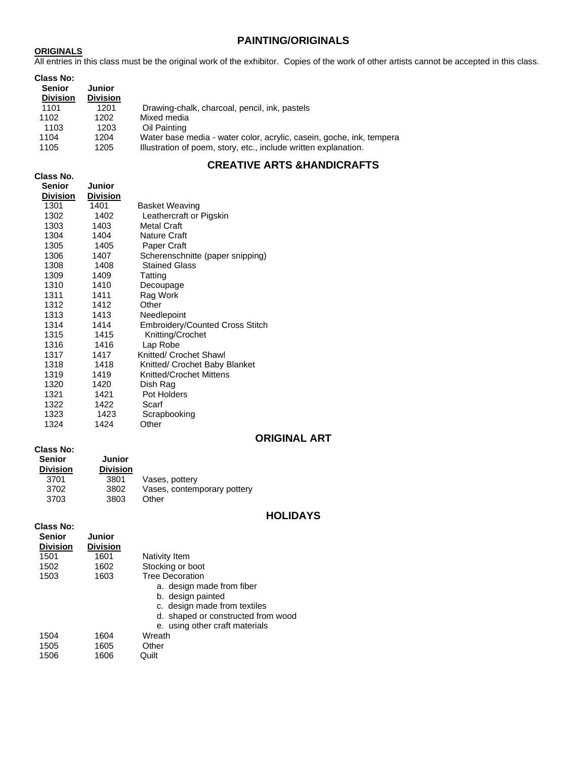### **PAINTING/ORIGINALS**

### **ORIGINALS**

All entries in this class must be the original work of the exhibitor. Copies of the work of other artists cannot be accepted in this class.

| Class No:<br><b>Senior</b><br><b>Division</b> | Junior<br><b>Division</b> |                                                                      |
|-----------------------------------------------|---------------------------|----------------------------------------------------------------------|
| 1101                                          | 1201                      | Drawing-chalk, charcoal, pencil, ink, pastels                        |
| 1102                                          | 1202                      | Mixed media                                                          |
| 1103                                          | 1203                      | Oil Painting                                                         |
| 1104                                          | 1204                      | Water base media - water color, acrylic, casein, goche, ink, tempera |
| 1105                                          | 1205                      | Illustration of poem, story, etc., include written explanation.      |

# **CREATIVE ARTS &HANDICRAFTS**

**Class No.** 

| Senior   | <b>Junior</b>   |                                        |
|----------|-----------------|----------------------------------------|
| Division | <b>Division</b> |                                        |
| 1301     | 1401            | Basket Weaving                         |
| 1302     | 1402            | Leathercraft or Pigskin                |
| 1303     | 1403            | <b>Metal Craft</b>                     |
| 1304     | 1404            | Nature Craft                           |
| 1305     | 1405            | Paper Craft                            |
| 1306     | 1407            | Scherenschnitte (paper snipping)       |
| 1308     | 1408            | <b>Stained Glass</b>                   |
| 1309     | 1409            | Tatting                                |
| 1310     | 1410            | Decoupage                              |
| 1311     | 1411            | Rag Work                               |
| 1312     | 1412            | Other                                  |
| 1313     | 1413            | Needlepoint                            |
| 1314     | 1414            | <b>Embroidery/Counted Cross Stitch</b> |
| 1315     | 1415            | Knitting/Crochet                       |
| 1316     | 1416            | Lap Robe                               |
| 1317     | 1417            | Knitted/ Crochet Shawl                 |
| 1318     | 1418            | Knitted/ Crochet Baby Blanket          |
| 1319     | 1419            | Knitted/Crochet Mittens                |
| 1320     | 1420            | Dish Rag                               |
| 1321     | 1421            | Pot Holders                            |
| 1322     | 1422            | Scarf                                  |
| 1323     | 1423            | Scrapbooking                           |
| 1324     | 1424            | Other                                  |

# **ORIGINAL ART**

### **Class No:**

| <b>Senior</b>   | <b>Junior</b>   |                             |
|-----------------|-----------------|-----------------------------|
| <b>Division</b> | <b>Division</b> |                             |
| 3701            | 3801            | Vases, pottery              |
| 3702            | 3802            | Vases, contemporary pottery |
| 3703            | 3803            | Other                       |

### **HOLIDAYS**

#### **Class No:**

| <b>Senior</b><br><b>Division</b> | <b>Junior</b><br><b>Division</b> |                                    |
|----------------------------------|----------------------------------|------------------------------------|
| 1501                             | 1601                             | Nativity Item                      |
| 1502                             | 1602                             | Stocking or boot                   |
| 1503                             | 1603                             | <b>Tree Decoration</b>             |
|                                  |                                  | a. design made from fiber          |
|                                  |                                  | b. design painted                  |
|                                  |                                  | c. design made from textiles       |
|                                  |                                  | d. shaped or constructed from wood |
|                                  |                                  | e. using other craft materials     |
| 1504                             | 1604                             | Wreath                             |
| 1505                             | 1605                             | Other                              |
| 1506                             | 1606                             | Quilt                              |
|                                  |                                  |                                    |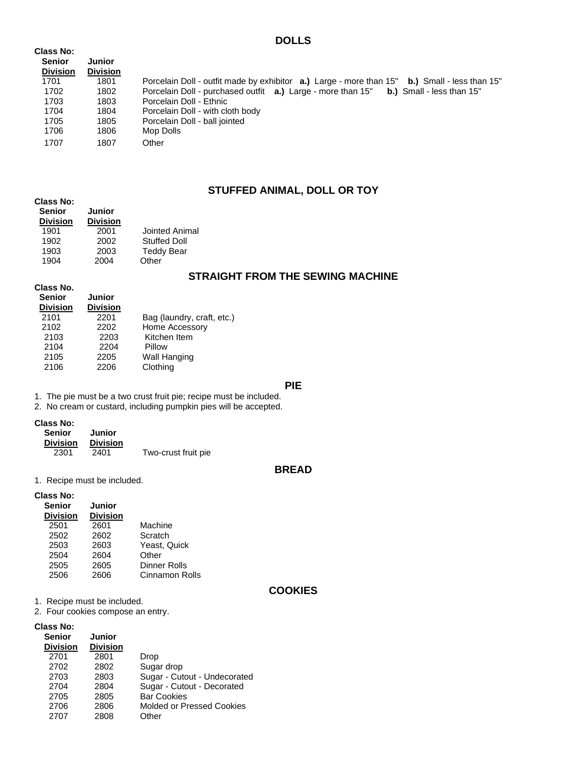### **DOLLS**

| <b>Class No:</b> |                 |                                                                                                              |
|------------------|-----------------|--------------------------------------------------------------------------------------------------------------|
| <b>Senior</b>    | Junior          |                                                                                                              |
| <b>Division</b>  | <b>Division</b> |                                                                                                              |
| 1701             | 1801            | Porcelain Doll - outfit made by exhibitor <b>a.)</b> Large - more than 15" <b>b.</b> ) Small - less than 15" |
| 1702             | 1802            | Porcelain Doll - purchased outfit <b>a.</b> ) Large - more than 15" <b>b.</b> ) Small - less than 15"        |
| 1703             | 1803            | Porcelain Doll - Ethnic                                                                                      |
| 1704             | 1804            | Porcelain Doll - with cloth body                                                                             |
| 1705             | 1805            | Porcelain Doll - ball jointed                                                                                |
| 1706             | 1806            | Mop Dolls                                                                                                    |
| 1707             | 1807            | Other                                                                                                        |

# **STUFFED ANIMAL, DOLL OR TOY**

| <b>Class No:</b><br><b>Senior</b><br><b>Division</b> | Junior<br><b>Division</b> |                     |
|------------------------------------------------------|---------------------------|---------------------|
| 1901                                                 | 2001                      | Jointed Animal      |
| 1902                                                 | 2002                      | <b>Stuffed Doll</b> |
| 1903                                                 | 2003                      | <b>Teddy Bear</b>   |
| 1904                                                 | 2004                      | )ther               |

# **STRAIGHT FROM THE SEWING MACHINE**

| Class No.<br><b>Senior</b><br><b>Division</b> | <b>Junior</b><br><b>Division</b> |                            |
|-----------------------------------------------|----------------------------------|----------------------------|
| 2101                                          | 2201                             | Bag (laundry, craft, etc.) |
| 2102                                          | 2202                             | Home Accessory             |
| 2103                                          | 2203                             | Kitchen Item               |
| 2104                                          | 2204                             | Pillow                     |
| 2105                                          | 2205                             | Wall Hanging               |
| 2106                                          | 2206                             | Clothing                   |

### **PIE**

1. The pie must be a two crust fruit pie; recipe must be included.

2. No cream or custard, including pumpkin pies will be accepted.

#### **Class No:**

| Senior          | Junior          |                     |
|-----------------|-----------------|---------------------|
| <b>Division</b> | <b>Division</b> |                     |
| 2301            | 2401            | Two-crust fruit pie |

### **BREAD**

1. Recipe must be included.

#### **Class No:**

| <b>Senior</b>   | <b>Junior</b>   |                       |
|-----------------|-----------------|-----------------------|
| <b>Division</b> | <b>Division</b> |                       |
| 2501            | 2601            | Machine               |
| 2502            | 2602            | Scratch               |
| 2503            | 2603            | Yeast, Quick          |
| 2504            | 2604            | Other                 |
| 2505            | 2605            | <b>Dinner Rolls</b>   |
| 2506            | 2606            | <b>Cinnamon Rolls</b> |
|                 |                 |                       |

### **COOKIES**

1. Recipe must be included.

2. Four cookies compose an entry.

### **Class No:**

| טוו ככושט.      |                 |                              |
|-----------------|-----------------|------------------------------|
| <b>Senior</b>   | <b>Junior</b>   |                              |
| <b>Division</b> | <b>Division</b> |                              |
| 2701            | 2801            | Drop                         |
| 2702            | 2802            | Sugar drop                   |
| 2703            | 2803            | Sugar - Cutout - Undecorated |
| 2704            | 2804            | Sugar - Cutout - Decorated   |
| 2705            | 2805            | <b>Bar Cookies</b>           |
| 2706            | 2806            | Molded or Pressed Cookies    |
| 2707            | 2808            | Other                        |
|                 |                 |                              |